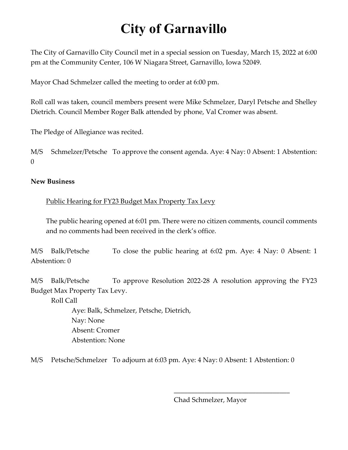## **City of Garnavillo**

The City of Garnavillo City Council met in a special session on Tuesday, March 15, 2022 at 6:00 pm at the Community Center, 106 W Niagara Street, Garnavillo, Iowa 52049.

Mayor Chad Schmelzer called the meeting to order at 6:00 pm.

Roll call was taken, council members present were Mike Schmelzer, Daryl Petsche and Shelley Dietrich. Council Member Roger Balk attended by phone, Val Cromer was absent.

The Pledge of Allegiance was recited.

M/S Schmelzer/Petsche To approve the consent agenda. Aye: 4 Nay: 0 Absent: 1 Abstention:  $\theta$ 

## **New Business**

Public Hearing for FY23 Budget Max Property Tax Levy

The public hearing opened at 6:01 pm. There were no citizen comments, council comments and no comments had been received in the clerk's office.

M/S Balk/Petsche To close the public hearing at 6:02 pm. Aye: 4 Nay: 0 Absent: 1 Abstention: 0

M/S Balk/Petsche To approve Resolution 2022-28 A resolution approving the FY23 Budget Max Property Tax Levy.

Roll Call

Aye: Balk, Schmelzer, Petsche, Dietrich, Nay: None Absent: Cromer Abstention: None

M/S Petsche/Schmelzer To adjourn at 6:03 pm. Aye: 4 Nay: 0 Absent: 1 Abstention: 0

Chad Schmelzer, Mayor

\_\_\_\_\_\_\_\_\_\_\_\_\_\_\_\_\_\_\_\_\_\_\_\_\_\_\_\_\_\_\_\_\_\_